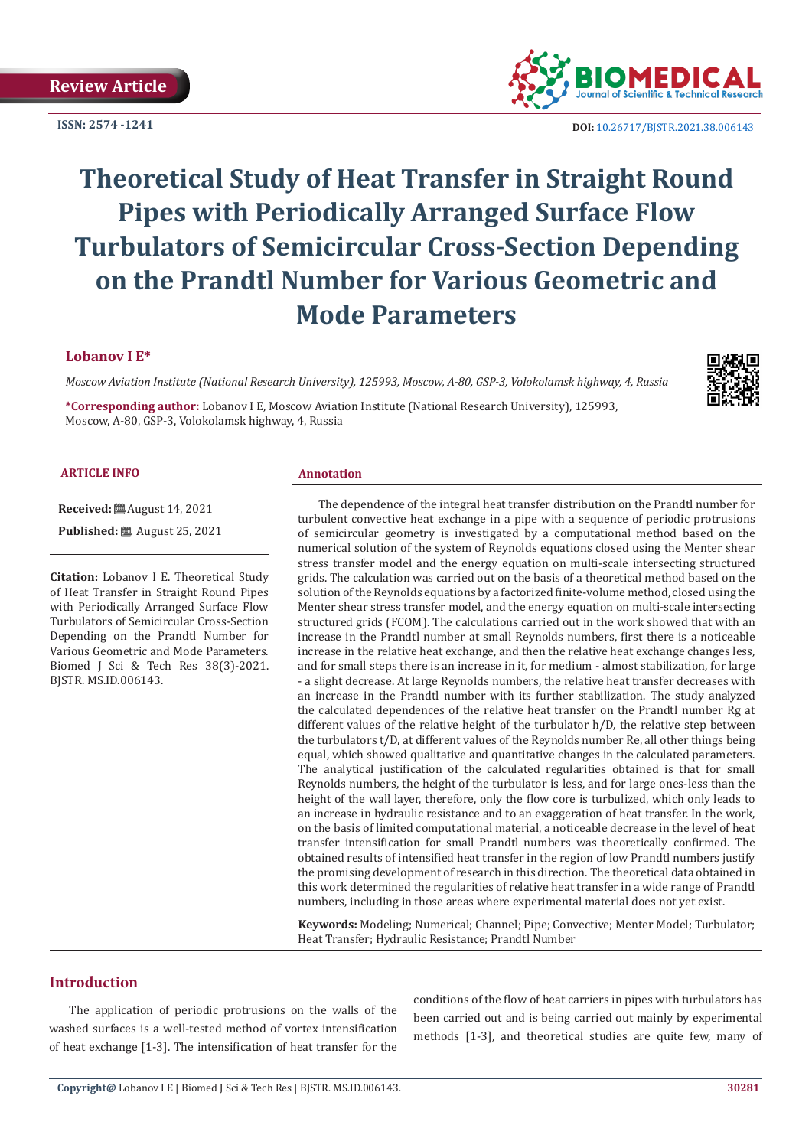**ISSN: 2574 -1241**



 **DOI:** [10.26717/BJSTR.2021.38.006143](https://dx.doi.org/10.26717/BJSTR.2021.38.006143)

## **Theoretical Study of Heat Transfer in Straight Round Pipes with Periodically Arranged Surface Flow Turbulators of Semicircular Cross-Section Depending on the Prandtl Number for Various Geometric and Mode Parameters**

#### **Lobanov I E\***

*Moscow Aviation Institute (National Research University), 125993, Moscow, A-80, GSP-3, Volokolamsk highway, 4, Russia*

**\*Corresponding author:** Lobanov I E, Moscow Aviation Institute (National Research University), 125993, Moscow, A-80, GSP-3, Volokolamsk highway, 4, Russia

#### **ARTICLE INFO Annotation**

**Received:** August 14, 2021

**Published:** ■ August 25, 2021

**Citation:** Lobanov I E. Theoretical Study of Heat Transfer in Straight Round Pipes with Periodically Arranged Surface Flow Turbulators of Semicircular Cross-Section Depending on the Prandtl Number for Various Geometric and Mode Parameters. Biomed J Sci & Tech Res 38(3)-2021. BJSTR. MS.ID.006143.

The dependence of the integral heat transfer distribution on the Prandtl number for turbulent convective heat exchange in a pipe with a sequence of periodic protrusions of semicircular geometry is investigated by a computational method based on the numerical solution of the system of Reynolds equations closed using the Menter shear stress transfer model and the energy equation on multi-scale intersecting structured grids. The calculation was carried out on the basis of a theoretical method based on the solution of the Reynolds equations by a factorized finite-volume method, closed using the Menter shear stress transfer model, and the energy equation on multi-scale intersecting structured grids (FCOM). The calculations carried out in the work showed that with an increase in the Prandtl number at small Reynolds numbers, first there is a noticeable increase in the relative heat exchange, and then the relative heat exchange changes less, and for small steps there is an increase in it, for medium - almost stabilization, for large - a slight decrease. At large Reynolds numbers, the relative heat transfer decreases with an increase in the Prandtl number with its further stabilization. The study analyzed the calculated dependences of the relative heat transfer on the Prandtl number Rg at different values of the relative height of the turbulator h/D, the relative step between the turbulators t/D, at different values of the Reynolds number Re, all other things being equal, which showed qualitative and quantitative changes in the calculated parameters. The analytical justification of the calculated regularities obtained is that for small Reynolds numbers, the height of the turbulator is less, and for large ones-less than the height of the wall layer, therefore, only the flow core is turbulized, which only leads to an increase in hydraulic resistance and to an exaggeration of heat transfer. In the work, on the basis of limited computational material, a noticeable decrease in the level of heat transfer intensification for small Prandtl numbers was theoretically confirmed. The obtained results of intensified heat transfer in the region of low Prandtl numbers justify the promising development of research in this direction. The theoretical data obtained in this work determined the regularities of relative heat transfer in a wide range of Prandtl numbers, including in those areas where experimental material does not yet exist.

**Keywords:** Modeling; Numerical; Channel; Pipe; Convective; Menter Model; Turbulator; Heat Transfer; Hydraulic Resistance; Prandtl Number

#### **Introduction**

The application of periodic protrusions on the walls of the washed surfaces is a well-tested method of vortex intensification of heat exchange [1-3]. The intensification of heat transfer for the conditions of the flow of heat carriers in pipes with turbulators has been carried out and is being carried out mainly by experimental methods [1-3], and theoretical studies are quite few, many of

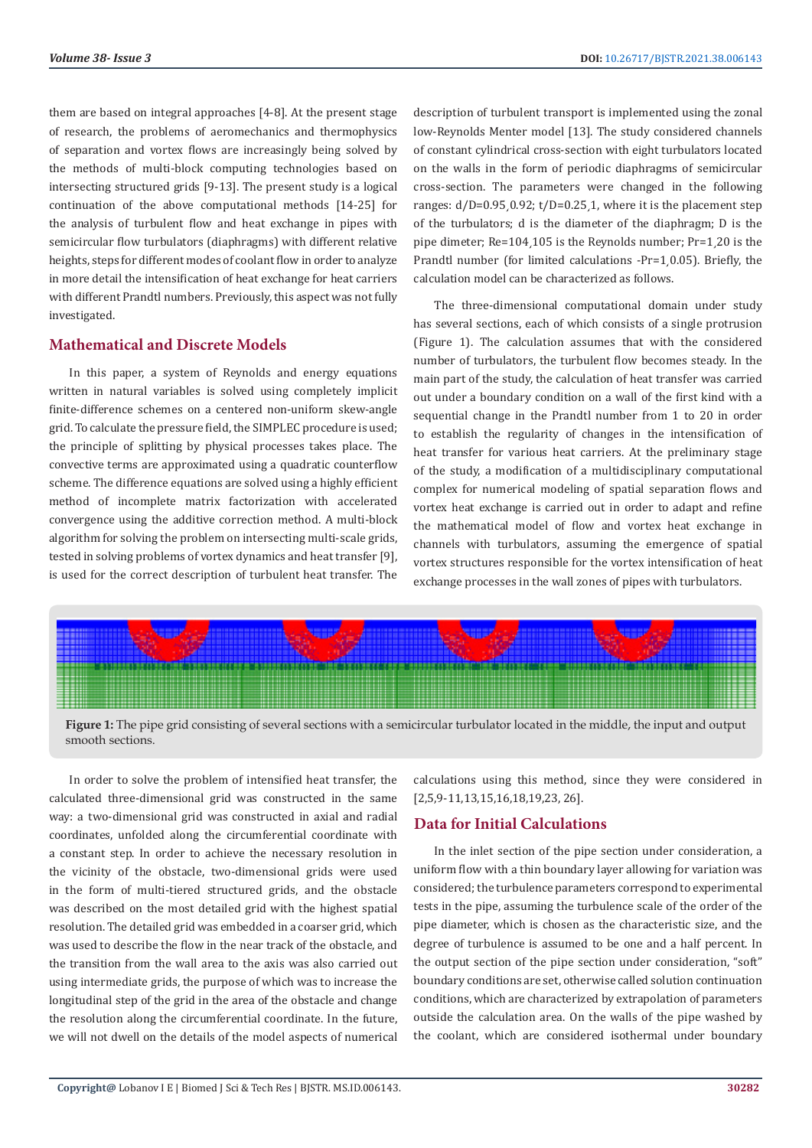them are based on integral approaches [4-8]. At the present stage of research, the problems of aeromechanics and thermophysics of separation and vortex flows are increasingly being solved by the methods of multi-block computing technologies based on intersecting structured grids [9-13]. The present study is a logical continuation of the above computational methods [14-25] for the analysis of turbulent flow and heat exchange in pipes with semicircular flow turbulators (diaphragms) with different relative heights, steps for different modes of coolant flow in order to analyze in more detail the intensification of heat exchange for heat carriers with different Prandtl numbers. Previously, this aspect was not fully investigated.

#### **Mathematical and Discrete Models**

In this paper, a system of Reynolds and energy equations written in natural variables is solved using completely implicit finite-difference schemes on a centered non-uniform skew-angle grid. To calculate the pressure field, the SIMPLEC procedure is used; the principle of splitting by physical processes takes place. The convective terms are approximated using a quadratic counterflow scheme. The difference equations are solved using a highly efficient method of incomplete matrix factorization with accelerated convergence using the additive correction method. A multi-block algorithm for solving the problem on intersecting multi-scale grids, tested in solving problems of vortex dynamics and heat transfer [9], is used for the correct description of turbulent heat transfer. The

description of turbulent transport is implemented using the zonal low-Reynolds Menter model [13]. The study considered channels of constant cylindrical cross-section with eight turbulators located on the walls in the form of periodic diaphragms of semicircular cross-section. The parameters were changed in the following ranges:  $d/D=0.95, 0.92$ ;  $t/D=0.25, 1$ , where it is the placement step of the turbulators; d is the diameter of the diaphragm; D is the pipe dimeter; Re=104¸105 is the Reynolds number; Pr=1¸20 is the Prandtl number (for limited calculations -Pr=1¸0.05). Briefly, the calculation model can be characterized as follows.

The three-dimensional computational domain under study has several sections, each of which consists of a single protrusion (Figure 1). The calculation assumes that with the considered number of turbulators, the turbulent flow becomes steady. In the main part of the study, the calculation of heat transfer was carried out under a boundary condition on a wall of the first kind with a sequential change in the Prandtl number from 1 to 20 in order to establish the regularity of changes in the intensification of heat transfer for various heat carriers. At the preliminary stage of the study, a modification of a multidisciplinary computational complex for numerical modeling of spatial separation flows and vortex heat exchange is carried out in order to adapt and refine the mathematical model of flow and vortex heat exchange in channels with turbulators, assuming the emergence of spatial vortex structures responsible for the vortex intensification of heat exchange processes in the wall zones of pipes with turbulators.



Figure 1: The pipe grid consisting of several sections with a semicircular turbulator located in the middle, the input and output smooth sections.

In order to solve the problem of intensified heat transfer, the calculated three-dimensional grid was constructed in the same way: a two-dimensional grid was constructed in axial and radial coordinates, unfolded along the circumferential coordinate with a constant step. In order to achieve the necessary resolution in the vicinity of the obstacle, two-dimensional grids were used in the form of multi-tiered structured grids, and the obstacle was described on the most detailed grid with the highest spatial resolution. The detailed grid was embedded in a coarser grid, which was used to describe the flow in the near track of the obstacle, and the transition from the wall area to the axis was also carried out using intermediate grids, the purpose of which was to increase the longitudinal step of the grid in the area of the obstacle and change the resolution along the circumferential coordinate. In the future, we will not dwell on the details of the model aspects of numerical

calculations using this method, since they were considered in [2,5,9-11,13,15,16,18,19,23, 26].

#### **Data for Initial Calculations**

In the inlet section of the pipe section under consideration, a uniform flow with a thin boundary layer allowing for variation was considered; the turbulence parameters correspond to experimental tests in the pipe, assuming the turbulence scale of the order of the pipe diameter, which is chosen as the characteristic size, and the degree of turbulence is assumed to be one and a half percent. In the output section of the pipe section under consideration, "soft" boundary conditions are set, otherwise called solution continuation conditions, which are characterized by extrapolation of parameters outside the calculation area. On the walls of the pipe washed by the coolant, which are considered isothermal under boundary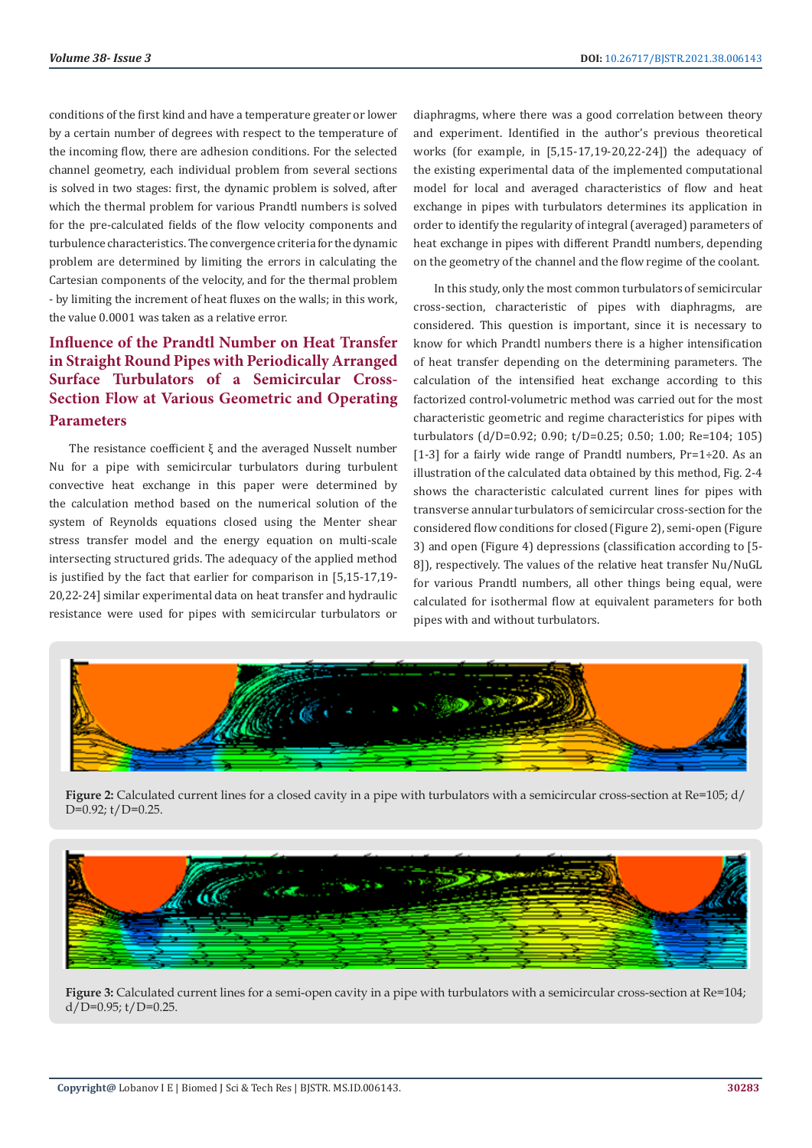conditions of the first kind and have a temperature greater or lower by a certain number of degrees with respect to the temperature of the incoming flow, there are adhesion conditions. For the selected channel geometry, each individual problem from several sections is solved in two stages: first, the dynamic problem is solved, after which the thermal problem for various Prandtl numbers is solved for the pre-calculated fields of the flow velocity components and turbulence characteristics. The convergence criteria for the dynamic problem are determined by limiting the errors in calculating the Cartesian components of the velocity, and for the thermal problem - by limiting the increment of heat fluxes on the walls; in this work, the value 0.0001 was taken as a relative error.

### **Influence of the Prandtl Number on Heat Transfer in Straight Round Pipes with Periodically Arranged Surface Turbulators of a Semicircular Cross-Section Flow at Various Geometric and Operating Parameters**

The resistance coefficient ξ and the averaged Nusselt number Nu for a pipe with semicircular turbulators during turbulent convective heat exchange in this paper were determined by the calculation method based on the numerical solution of the system of Reynolds equations closed using the Menter shear stress transfer model and the energy equation on multi-scale intersecting structured grids. The adequacy of the applied method is justified by the fact that earlier for comparison in [5,15-17,19- 20,22-24] similar experimental data on heat transfer and hydraulic resistance were used for pipes with semicircular turbulators or diaphragms, where there was a good correlation between theory and experiment. Identified in the author's previous theoretical works (for example, in [5,15-17,19-20,22-24]) the adequacy of the existing experimental data of the implemented computational model for local and averaged characteristics of flow and heat exchange in pipes with turbulators determines its application in order to identify the regularity of integral (averaged) parameters of heat exchange in pipes with different Prandtl numbers, depending on the geometry of the channel and the flow regime of the coolant.

In this study, only the most common turbulators of semicircular cross-section, characteristic of pipes with diaphragms, are considered. This question is important, since it is necessary to know for which Prandtl numbers there is a higher intensification of heat transfer depending on the determining parameters. The calculation of the intensified heat exchange according to this factorized control-volumetric method was carried out for the most characteristic geometric and regime characteristics for pipes with turbulators (d/D=0.92; 0.90; t/D=0.25; 0.50; 1.00; Re=104; 105) [1-3] for a fairly wide range of Prandtl numbers, Pr=1÷20. As an illustration of the calculated data obtained by this method, Fig. 2-4 shows the characteristic calculated current lines for pipes with transverse annular turbulators of semicircular cross-section for the considered flow conditions for closed (Figure 2), semi-open (Figure 3) and open (Figure 4) depressions (classification according to [5- 8]), respectively. The values of the relative heat transfer Nu/NuGL for various Prandtl numbers, all other things being equal, were calculated for isothermal flow at equivalent parameters for both pipes with and without turbulators.



**Figure 2:** Calculated current lines for a closed cavity in a pipe with turbulators with a semicircular cross-section at Re=105; d/  $D=0.92$ ; t/ $D=0.25$ .



**Figure 3:** Calculated current lines for a semi-open cavity in a pipe with turbulators with a semicircular cross-section at Re=104;  $d/D=0.95$ ;  $t/D=0.25$ .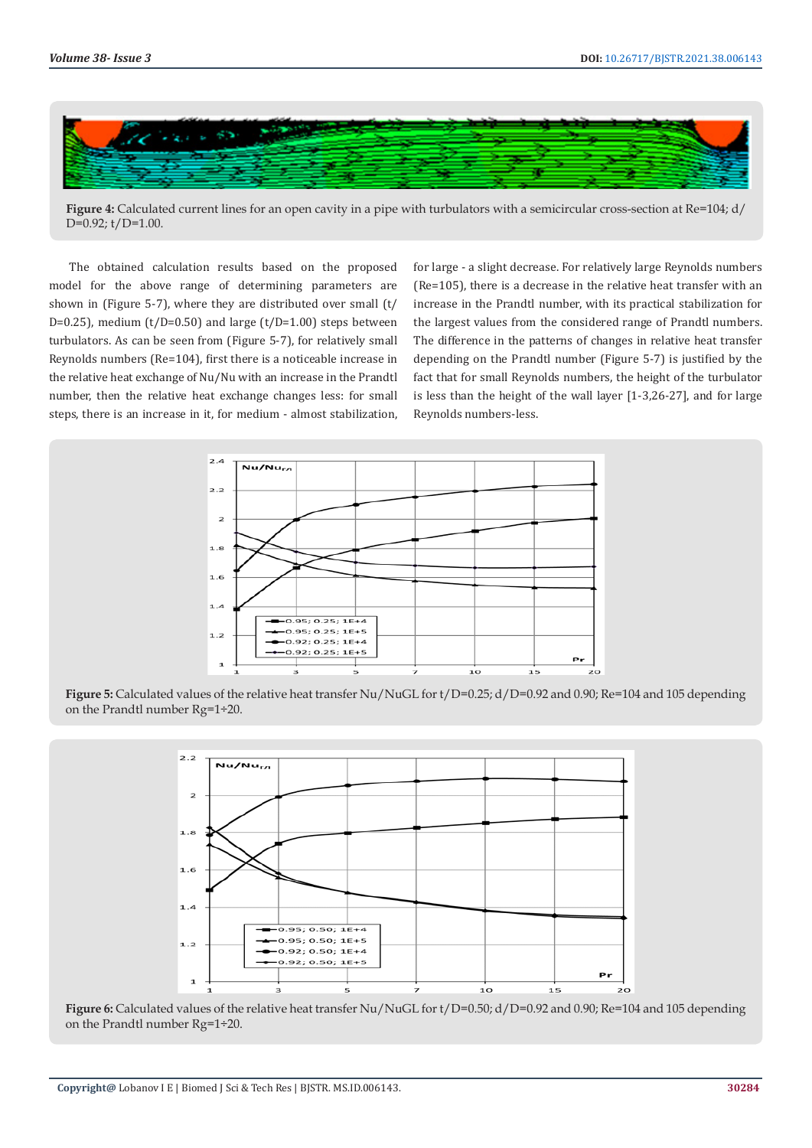

**Figure 4:** Calculated current lines for an open cavity in a pipe with turbulators with a semicircular cross-section at Re=104; d/  $D=0.92$ ;  $t/D=1.00$ .

The obtained calculation results based on the proposed model for the above range of determining parameters are shown in (Figure 5-7), where they are distributed over small (t/ D=0.25), medium  $(t/D=0.50)$  and large  $(t/D=1.00)$  steps between turbulators. As can be seen from (Figure 5-7), for relatively small Reynolds numbers (Re=104), first there is a noticeable increase in the relative heat exchange of Nu/Nu with an increase in the Prandtl number, then the relative heat exchange changes less: for small steps, there is an increase in it, for medium - almost stabilization,

for large - a slight decrease. For relatively large Reynolds numbers (Re=105), there is a decrease in the relative heat transfer with an increase in the Prandtl number, with its practical stabilization for the largest values from the considered range of Prandtl numbers. The difference in the patterns of changes in relative heat transfer depending on the Prandtl number (Figure 5-7) is justified by the fact that for small Reynolds numbers, the height of the turbulator is less than the height of the wall layer [1-3,26-27], and for large Reynolds numbers-less.



**Figure 5:** Calculated values of the relative heat transfer Nu/NuGL for t/D=0.25; d/D=0.92 and 0.90; Re=104 and 105 depending on the Prandtl number Rg=1÷20.



**Figure 6:** Calculated values of the relative heat transfer Nu/NuGL for t/D=0.50; d/D=0.92 and 0.90; Re=104 and 105 depending on the Prandtl number Rg=1÷20.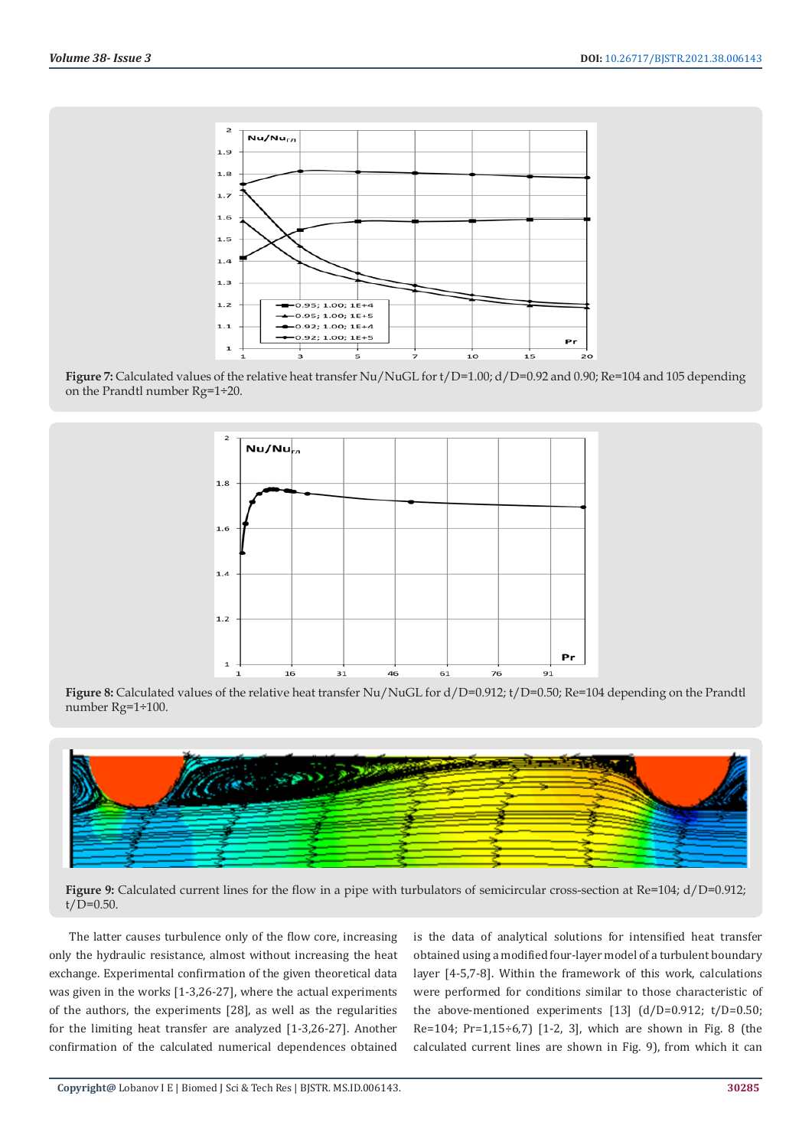

**Figure 7:** Calculated values of the relative heat transfer Nu/NuGL for t/D=1.00; d/D=0.92 and 0.90; Re=104 and 105 depending on the Prandtl number Rg=1÷20.



**Figure 8:** Calculated values of the relative heat transfer Nu/NuGL for d/D=0.912; t/D=0.50; Re=104 depending on the Prandtl number Rg=1÷100.



**Figure 9:** Calculated current lines for the flow in a pipe with turbulators of semicircular cross-section at Re=104; d/D=0.912;  $t/D = 0.50$ .

The latter causes turbulence only of the flow core, increasing only the hydraulic resistance, almost without increasing the heat exchange. Experimental confirmation of the given theoretical data was given in the works [1-3,26-27], where the actual experiments of the authors, the experiments [28], as well as the regularities for the limiting heat transfer are analyzed [1-3,26-27]. Another confirmation of the calculated numerical dependences obtained

is the data of analytical solutions for intensified heat transfer obtained using a modified four-layer model of a turbulent boundary layer [4-5,7-8]. Within the framework of this work, calculations were performed for conditions similar to those characteristic of the above-mentioned experiments [13] (d/D=0.912; t/D=0.50; Re=104; Pr=1,15÷6,7) [1-2, 3], which are shown in Fig. 8 (the calculated current lines are shown in Fig. 9), from which it can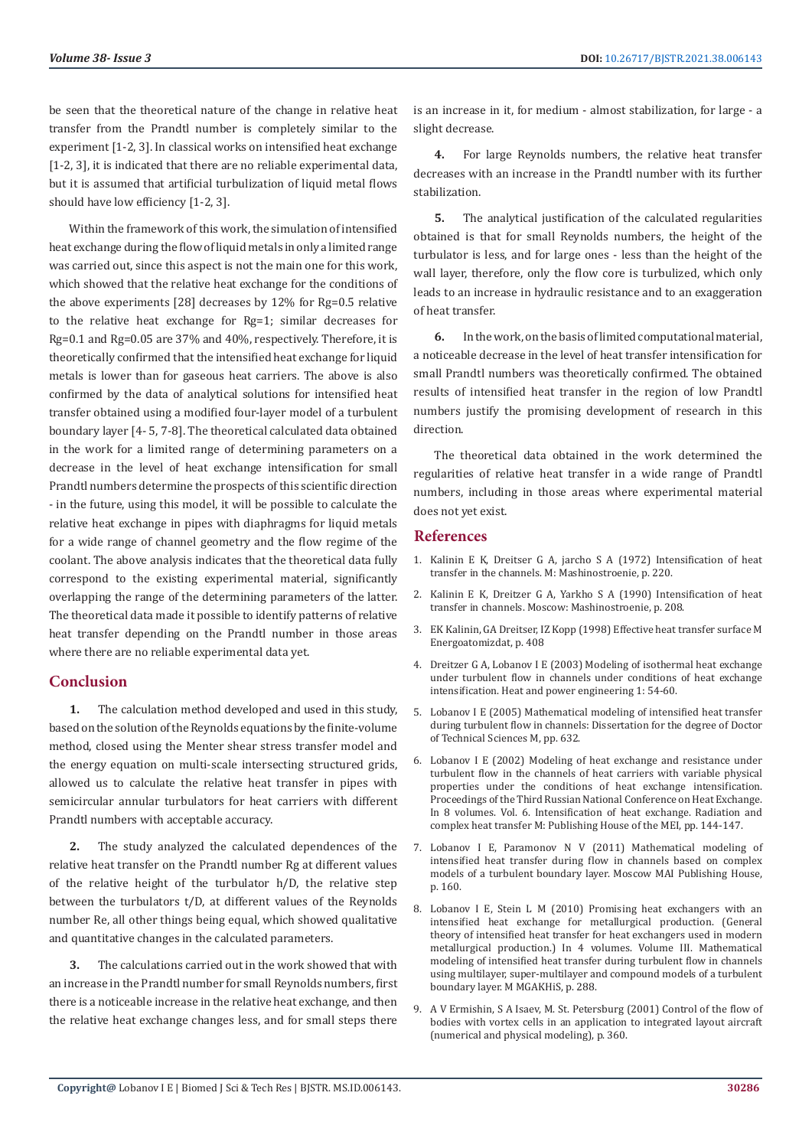be seen that the theoretical nature of the change in relative heat transfer from the Prandtl number is completely similar to the experiment [1-2, 3]. In classical works on intensified heat exchange [1-2, 3], it is indicated that there are no reliable experimental data, but it is assumed that artificial turbulization of liquid metal flows should have low efficiency [1-2, 3].

Within the framework of this work, the simulation of intensified heat exchange during the flow of liquid metals in only a limited range was carried out, since this aspect is not the main one for this work, which showed that the relative heat exchange for the conditions of the above experiments [28] decreases by 12% for Rg=0.5 relative to the relative heat exchange for Rg=1; similar decreases for Rg=0.1 and Rg=0.05 are 37% and 40%, respectively. Therefore, it is theoretically confirmed that the intensified heat exchange for liquid metals is lower than for gaseous heat carriers. The above is also confirmed by the data of analytical solutions for intensified heat transfer obtained using a modified four-layer model of a turbulent boundary layer [4- 5, 7-8]. The theoretical calculated data obtained in the work for a limited range of determining parameters on a decrease in the level of heat exchange intensification for small Prandtl numbers determine the prospects of this scientific direction - in the future, using this model, it will be possible to calculate the relative heat exchange in pipes with diaphragms for liquid metals for a wide range of channel geometry and the flow regime of the coolant. The above analysis indicates that the theoretical data fully correspond to the existing experimental material, significantly overlapping the range of the determining parameters of the latter. The theoretical data made it possible to identify patterns of relative heat transfer depending on the Prandtl number in those areas where there are no reliable experimental data yet.

#### **Conclusion**

**1.** The calculation method developed and used in this study, based on the solution of the Reynolds equations by the finite-volume method, closed using the Menter shear stress transfer model and the energy equation on multi-scale intersecting structured grids, allowed us to calculate the relative heat transfer in pipes with semicircular annular turbulators for heat carriers with different Prandtl numbers with acceptable accuracy.

**2.** The study analyzed the calculated dependences of the relative heat transfer on the Prandtl number Rg at different values of the relative height of the turbulator h/D, the relative step between the turbulators t/D, at different values of the Reynolds number Re, all other things being equal, which showed qualitative and quantitative changes in the calculated parameters.

**3.** The calculations carried out in the work showed that with an increase in the Prandtl number for small Reynolds numbers, first there is a noticeable increase in the relative heat exchange, and then the relative heat exchange changes less, and for small steps there

is an increase in it, for medium - almost stabilization, for large - a slight decrease.

**4.** For large Reynolds numbers, the relative heat transfer decreases with an increase in the Prandtl number with its further stabilization.

**5.** The analytical justification of the calculated regularities obtained is that for small Reynolds numbers, the height of the turbulator is less, and for large ones - less than the height of the wall layer, therefore, only the flow core is turbulized, which only leads to an increase in hydraulic resistance and to an exaggeration of heat transfer.

**6.** In the work, on the basis of limited computational material, a noticeable decrease in the level of heat transfer intensification for small Prandtl numbers was theoretically confirmed. The obtained results of intensified heat transfer in the region of low Prandtl numbers justify the promising development of research in this direction.

The theoretical data obtained in the work determined the regularities of relative heat transfer in a wide range of Prandtl numbers, including in those areas where experimental material does not yet exist.

#### **References**

- 1. Kalinin E K, Dreitser G A, jarcho S A (1972) Intensification of heat transfer in the channels. M: Mashinostroenie, p. 220.
- 2. Kalinin E K, Dreitzer G A, Yarkho S A (1990) Intensification of heat transfer in channels. Moscow: Mashinostroenie, p. 208.
- 3. EK Kalinin, GA Dreitser, IZ Kopp (1998) Effective heat transfer surface M Energoatomizdat, p. 408
- 4. Dreitzer G A, Lobanov I E (2003) Modeling of isothermal heat exchange under turbulent flow in channels under conditions of heat exchange intensification. Heat and power engineering 1: 54-60.
- 5. Lobanov I E (2005) Mathematical modeling of intensified heat transfer during turbulent flow in channels: Dissertation for the degree of Doctor of Technical Sciences M, pp. 632.
- 6. Lobanov I E (2002) Modeling of heat exchange and resistance under turbulent flow in the channels of heat carriers with variable physical properties under the conditions of heat exchange intensification. Proceedings of the Third Russian National Conference on Heat Exchange. In 8 volumes. Vol. 6. Intensification of heat exchange. Radiation and complex heat transfer M: Publishing House of the MEI, pp. 144-147.
- 7. Lobanov I E, Paramonov N V (2011) Mathematical modeling of intensified heat transfer during flow in channels based on complex models of a turbulent boundary layer. Moscow MAI Publishing House, p. 160.
- 8. Lobanov I E, Stein L M (2010) Promising heat exchangers with an intensified heat exchange for metallurgical production. (General theory of intensified heat transfer for heat exchangers used in modern metallurgical production.) In 4 volumes. Volume III. Mathematical modeling of intensified heat transfer during turbulent flow in channels using multilayer, super-multilayer and compound models of a turbulent boundary layer. M MGAKHiS, p. 288.
- 9. A V Ermishin, S A Isaev, M. St. Petersburg (2001) Control of the flow of bodies with vortex cells in an application to integrated layout aircraft (numerical and physical modeling), p. 360.